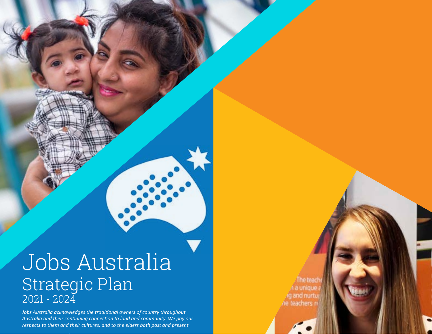# Jobs Australia Strategic Plan 2021 - 2024

*Jobs Australia acknowledges the traditional owners of country throughout Australia and their continuing connection to land and community. We pay our respects to them and their cultures, and to the elders both past and present.*

The tead unique g and nurti ne teachers r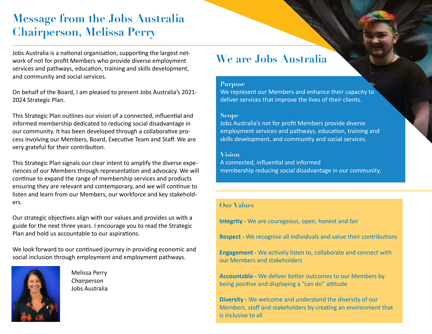# **Message from the Jobs Australia Chairperson, Melissa Perry**

Jobs Australia is a national organisation, supporting the largest network of not for profit Members who provide diverse employment services and pathways, education, training and skills development, and community and social services.

On behalf of the Board, I am pleased to present Jobs Australia's 2021- 2024 Strategic Plan.

This Strategic Plan outlines our vision of a connected, influential and informed membership dedicated to reducing social disadvantage in our community. It has been developed through a collaborative process involving our Members, Board, Executive Team and Staff. We are very grateful for their contribution.

This Strategic Plan signals our clear intent to amplify the diverse experiences of our Members through representation and advocacy. We will continue to expand the range of membership services and products ensuring they are relevant and contemporary, and we will continue to listen and learn from our Members, our workforce and key stakeholders.

Our strategic objectives align with our values and provides us with a guide for the next three years. I encourage you to read the Strategic Plan and hold us accountable to our aspirations.

We look forward to our continued journey in providing economic and social inclusion through employment and employment pathways.



Melissa Perry *Chairperson*  Jobs Australia

# **We are Jobs Australia**

#### **Purpose**

We represent our Members and enhance their capacity to deliver services that improve the lives of their clients.

#### **Scope**

Jobs Australia's not for profit Members provide diverse employment services and pathways, education, training and skills development, and community and social services.

#### **Vision**

A connected, influential and informed membership reducing social disadvantage in our community.

#### **Our Values**

**Integrity -** We are courageous, open, honest and fair

**Respect -** We recognise all individuals and value their contributions

**Engagement -** We actively listen to, collaborate and connect with our Members and stakeholders

**Accountable -** We deliver better outcomes to our Members by being positive and displaying a "can do" attitude

**Diversity -** We welcome and understand the diversity of our Members, staff and stakeholders by creating an environment that is inclusive to all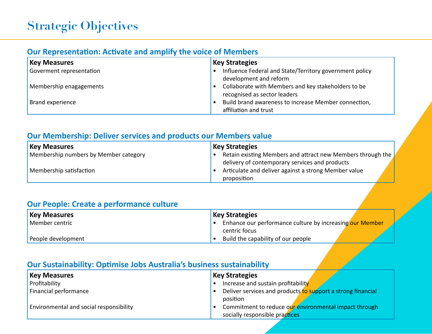# **Our Representation: Activate and amplify the voice of Members**

| <b>Key Measures</b>      | <b>Key Strategies</b>                                   |
|--------------------------|---------------------------------------------------------|
| Goverment representation | Influence Federal and State/Territory government policy |
|                          | development and reform                                  |
| Membership enagagements  | Collaborate with Members and key stakeholders to be     |
|                          | recognised as sector leaders                            |
| Brand experience         | Build brand awareness to increase Member connection,    |
|                          | affiliation and trust                                   |

### **Our Membership: Deliver services and products our Members value**

| <b>Key Measures</b>                   | <b>Key Strategies</b>                                       |
|---------------------------------------|-------------------------------------------------------------|
| Membership numbers by Member category | Retain existing Members and attract new Members through the |
|                                       | delivery of contemporary services and products              |
| Membership satisfaction               | Articulate and deliver against a strong Member value        |
|                                       | proposition                                                 |

## **Our People: Create a performance culture**

| <b>Key Measures</b> | <b>Key Strategies</b>                                    |
|---------------------|----------------------------------------------------------|
| Member centric      | Enhance our performance culture by increasing our Member |
|                     | centric focus                                            |
| People development  | Build the capability of our people                       |

### **Our Sustainability: Optimise Jobs Australia's business sustainability**

| <b>Key Measures</b>                     | <b>Key Strategies</b>                                       |
|-----------------------------------------|-------------------------------------------------------------|
| Profitability                           | Increase and sustain profitability                          |
| Financial performance                   | Deliver services and products to support a strong financial |
|                                         | position                                                    |
| Environmental and social responsibility | Commitment to reduce our environmental impact through       |
|                                         | socially responsible practices                              |